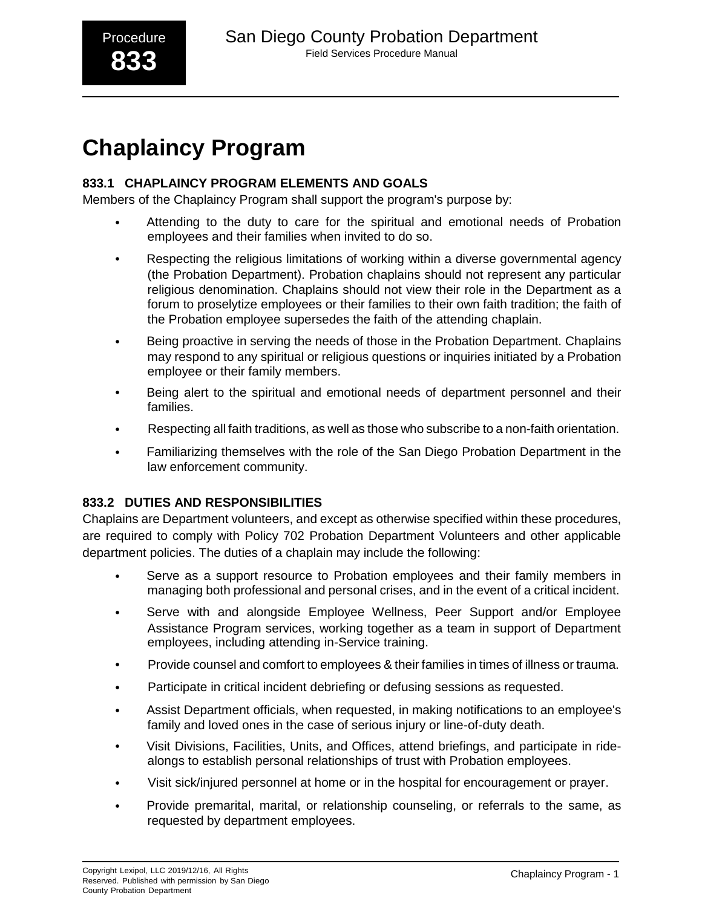# **Chaplaincy Program**

# **833.1 CHAPLAINCY PROGRAM ELEMENTS AND GOALS**

Members of the Chaplaincy Program shall support the program's purpose by:

- Attending to the duty to care for the spiritual and emotional needs of Probation employees and their families when invited to do so.
- Respecting the religious limitations of working within a diverse governmental agency (the Probation Department). Probation chaplains should not represent any particular religious denomination. Chaplains should not view their role in the Department as a forum to proselytize employees or their families to their own faith tradition; the faith of the Probation employee supersedes the faith of the attending chaplain.
- Being proactive in serving the needs of those in the Probation Department. Chaplains may respond to any spiritual or religious questions or inquiries initiated by a Probation employee or their family members.
- Being alert to the spiritual and emotional needs of department personnel and their families.
- Respecting all faith traditions, as well as those who subscribe to a non-faith orientation.
- Familiarizing themselves with the role of the San Diego Probation Department in the law enforcement community.

# **833.2 DUTIES AND RESPONSIBILITIES**

Chaplains are Department volunteers, and except as otherwise specified within these procedures, are required to comply with Policy 702 Probation Department Volunteers and other applicable department policies. The duties of a chaplain may include the following:

- Serve as a support resource to Probation employees and their family members in managing both professional and personal crises, and in the event of a critical incident.
- Serve with and alongside Employee Wellness, Peer Support and/or Employee Assistance Program services, working together as a team in support of Department employees, including attending in-Service training.
- Provide counsel and comfort to employees & their families in times of illness or trauma.
- Participate in critical incident debriefing or defusing sessions as requested.
- Assist Department officials, when requested, in making notifications to an employee's family and loved ones in the case of serious injury or line-of-duty death.
- Visit Divisions, Facilities, Units, and Offices, attend briefings, and participate in ridealongs to establish personal relationships of trust with Probation employees.
- Visit sick/injured personnel at home or in the hospital for encouragement or prayer.
- Provide premarital, marital, or relationship counseling, or referrals to the same, as requested by department employees.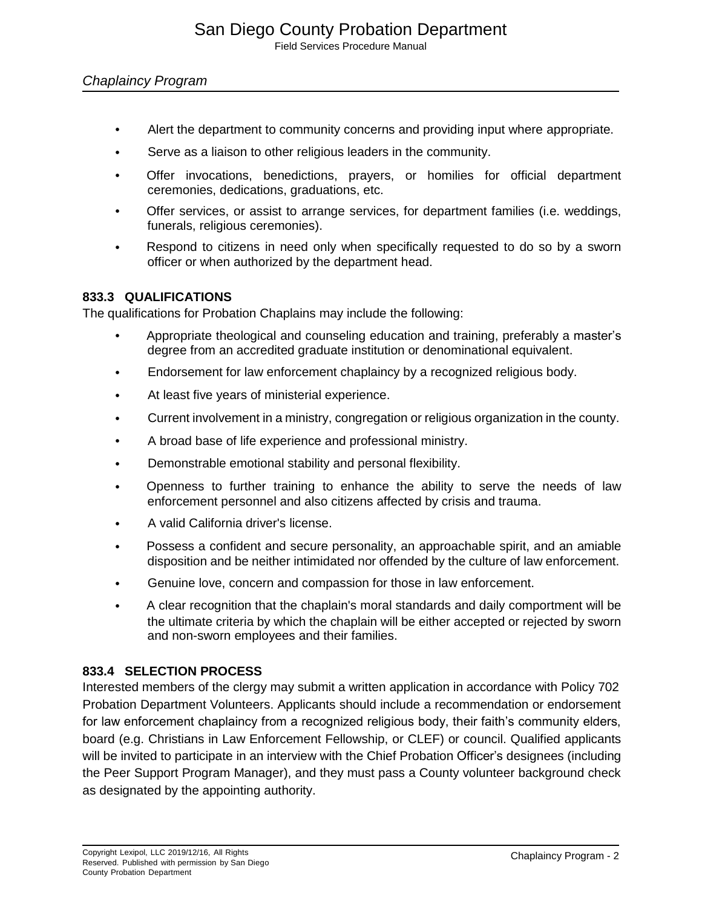# *Chaplaincy Program*

- Alert the department to community concerns and providing input where appropriate.
- Serve as a liaison to other religious leaders in the community.
- Offer invocations, benedictions, prayers, or homilies for official department ceremonies, dedications, graduations, etc.
- Offer services, or assist to arrange services, for department families (i.e. weddings, funerals, religious ceremonies).
- Respond to citizens in need only when specifically requested to do so by a sworn officer or when authorized by the department head.

# **833.3 QUALIFICATIONS**

The qualifications for Probation Chaplains may include the following:

- Appropriate theological and counseling education and training, preferably a master's degree from an accredited graduate institution or denominational equivalent.
- Endorsement for law enforcement chaplaincy by a recognized religious body.
- At least five years of ministerial experience.
- Current involvement in a ministry, congregation or religious organization in the county.
- A broad base of life experience and professional ministry.
- Demonstrable emotional stability and personal flexibility.
- Openness to further training to enhance the ability to serve the needs of law enforcement personnel and also citizens affected by crisis and trauma.
- A valid California driver's license.
- Possess a confident and secure personality, an approachable spirit, and an amiable disposition and be neither intimidated nor offended by the culture of law enforcement.
- Genuine love, concern and compassion for those in law enforcement.
- A clear recognition that the chaplain's moral standards and daily comportment will be the ultimate criteria by which the chaplain will be either accepted or rejected by sworn and non-sworn employees and their families.

#### **833.4 SELECTION PROCESS**

Interested members of the clergy may submit a written application in accordance with Policy 702 Probation Department Volunteers. Applicants should include a recommendation or endorsement for law enforcement chaplaincy from a recognized religious body, their faith's community elders, board (e.g. Christians in Law Enforcement Fellowship, or CLEF) or council. Qualified applicants will be invited to participate in an interview with the Chief Probation Officer's designees (including the Peer Support Program Manager), and they must pass a County volunteer background check as designated by the appointing authority.